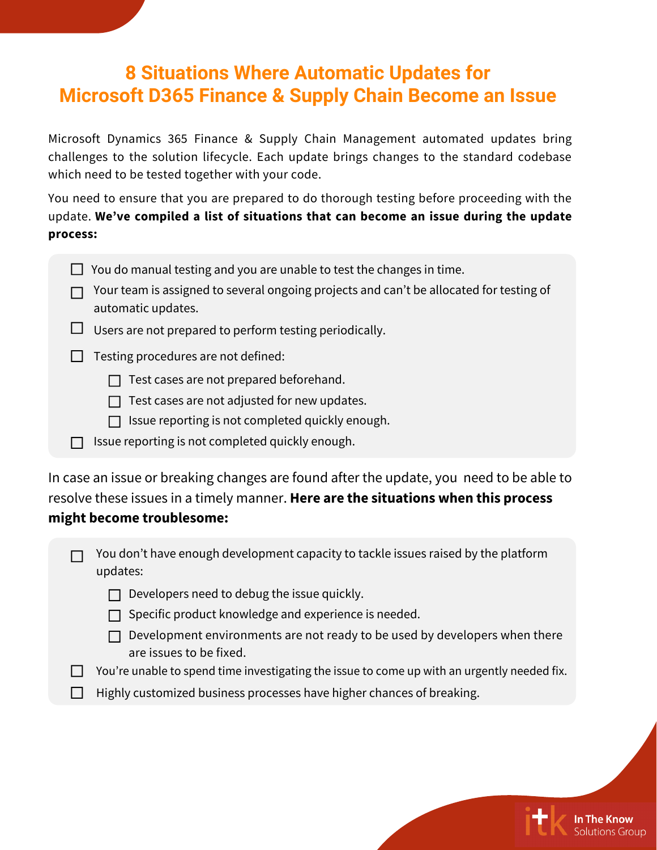## **8 Situations Where Automatic Updates for Microsoft D365 Finance & Supply Chain Become an Issue**

Microsoft Dynamics 365 Finance & Supply Chain Management automated updates bring challenges to the solution lifecycle. Each update brings changes to the standard codebase which need to be tested together with your code.

You need to ensure that you are prepared to do thorough testing before proceeding with the update. **We've compiled a list of situations that can become an issue during the update process:**

|  |  |  |  | $\Box$ You do manual testing and you are unable to test the changes in time. |
|--|--|--|--|------------------------------------------------------------------------------|
|--|--|--|--|------------------------------------------------------------------------------|

| $\Box$ Your team is assigned to several ongoing projects and can't be allocated for testing of |
|------------------------------------------------------------------------------------------------|
| automatic updates.                                                                             |

 $\Box$  Users are not prepared to perform testing periodically.

 $\Box$  Testing procedures are not defined:

 $\Box$  Test cases are not prepared beforehand.

 $\Box$  Test cases are not adjusted for new updates.

 $\Box$  Issue reporting is not completed quickly enough.

 $\Box$  Issue reporting is not completed quickly enough.

In case an issue or breaking changes are found after the update, you need to be able to resolve these issues in a timely manner. **Here are the situations when this process might become troublesome:**

| $\Box$ You don't have enough development capacity to tackle issues raised by the platform |  |
|-------------------------------------------------------------------------------------------|--|
| updates:                                                                                  |  |

- $\Box$  Developers need to debug the issue quickly.
- $\Box$  Specific product knowledge and experience is needed.
- $\Box$  Development environments are not ready to be used by developers when there are issues to be fixed.
- You're unable to spend time investigating the issue to come up with an urgently needed fix.
- Highly customized business processes have higher chances of breaking. $\Box$